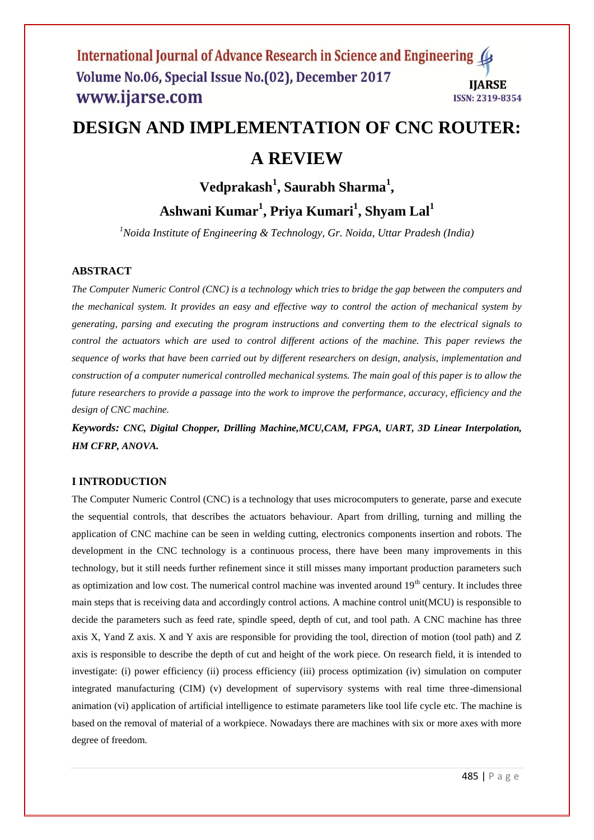# **DESIGN AND IMPLEMENTATION OF CNC ROUTER:**

### **A REVIEW**

## **Vedprakash<sup>1</sup> , Saurabh Sharma<sup>1</sup> , Ashwani Kumar<sup>1</sup> , Priya Kumari<sup>1</sup> , Shyam Lal<sup>1</sup>**

*<sup>1</sup>Noida Institute of Engineering & Technology, Gr. Noida, Uttar Pradesh (India)*

#### **ABSTRACT**

*The Computer Numeric Control (CNC) is a technology which tries to bridge the gap between the computers and the mechanical system. It provides an easy and effective way to control the action of mechanical system by generating, parsing and executing the program instructions and converting them to the electrical signals to control the actuators which are used to control different actions of the machine. This paper reviews the sequence of works that have been carried out by different researchers on design, analysis, implementation and construction of a computer numerical controlled mechanical systems. The main goal of this paper is to allow the future researchers to provide a passage into the work to improve the performance, accuracy, efficiency and the design of CNC machine.*

*Keywords: CNC, Digital Chopper, Drilling Machine,MCU,CAM, FPGA, UART, 3D Linear Interpolation, HM CFRP, ANOVA.*

#### **I INTRODUCTION**

The Computer Numeric Control (CNC) is a technology that uses microcomputers to generate, parse and execute the sequential controls, that describes the actuators behaviour. Apart from drilling, turning and milling the application of CNC machine can be seen in welding cutting, electronics components insertion and robots. The development in the CNC technology is a continuous process, there have been many improvements in this technology, but it still needs further refinement since it still misses many important production parameters such as optimization and low cost. The numerical control machine was invented around  $19<sup>th</sup>$  century. It includes three main steps that is receiving data and accordingly control actions. A machine control unit(MCU) is responsible to decide the parameters such as feed rate, spindle speed, depth of cut, and tool path. A CNC machine has three axis X, Yand Z axis. X and Y axis are responsible for providing the tool, direction of motion (tool path) and Z axis is responsible to describe the depth of cut and height of the work piece. On research field, it is intended to investigate: (i) power efficiency (ii) process efficiency (iii) process optimization (iv) simulation on computer integrated manufacturing (CIM) (v) development of supervisory systems with real time three-dimensional animation (vi) application of artificial intelligence to estimate parameters like tool life cycle etc. The machine is based on the removal of material of a workpiece. Nowadays there are machines with six or more axes with more degree of freedom.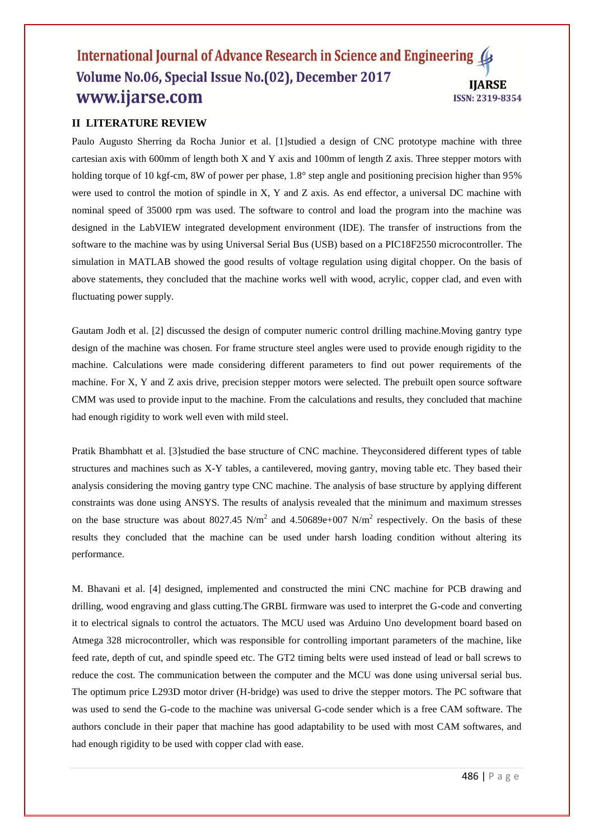#### **II LITERATURE REVIEW**

Paulo Augusto Sherring da Rocha Junior et al. [1]studied a design of CNC prototype machine with three cartesian axis with 600mm of length both X and Y axis and 100mm of length Z axis. Three stepper motors with holding torque of 10 kgf-cm, 8W of power per phase, 1.8° step angle and positioning precision higher than 95% were used to control the motion of spindle in X, Y and Z axis. As end effector, a universal DC machine with nominal speed of 35000 rpm was used. The software to control and load the program into the machine was designed in the LabVIEW integrated development environment (IDE). The transfer of instructions from the software to the machine was by using Universal Serial Bus (USB) based on a PIC18F2550 microcontroller. The simulation in MATLAB showed the good results of voltage regulation using digital chopper. On the basis of above statements, they concluded that the machine works well with wood, acrylic, copper clad, and even with fluctuating power supply.

Gautam Jodh et al. [2] discussed the design of computer numeric control drilling machine.Moving gantry type design of the machine was chosen. For frame structure steel angles were used to provide enough rigidity to the machine. Calculations were made considering different parameters to find out power requirements of the machine. For X, Y and Z axis drive, precision stepper motors were selected. The prebuilt open source software CMM was used to provide input to the machine. From the calculations and results, they concluded that machine had enough rigidity to work well even with mild steel.

Pratik Bhambhatt et al. [3]studied the base structure of CNC machine. Theyconsidered different types of table structures and machines such as X-Y tables, a cantilevered, moving gantry, moving table etc. They based their analysis considering the moving gantry type CNC machine. The analysis of base structure by applying different constraints was done using ANSYS. The results of analysis revealed that the minimum and maximum stresses on the base structure was about  $8027.45$  N/m<sup>2</sup> and  $4.50689e+007$  N/m<sup>2</sup> respectively. On the basis of these results they concluded that the machine can be used under harsh loading condition without altering its performance.

M. Bhavani et al. [4] designed, implemented and constructed the mini CNC machine for PCB drawing and drilling, wood engraving and glass cutting.The GRBL firmware was used to interpret the G-code and converting it to electrical signals to control the actuators. The MCU used was Arduino Uno development board based on Atmega 328 microcontroller, which was responsible for controlling important parameters of the machine, like feed rate, depth of cut, and spindle speed etc. The GT2 timing belts were used instead of lead or ball screws to reduce the cost. The communication between the computer and the MCU was done using universal serial bus. The optimum price L293D motor driver (H-bridge) was used to drive the stepper motors. The PC software that was used to send the G-code to the machine was universal G-code sender which is a free CAM software. The authors conclude in their paper that machine has good adaptability to be used with most CAM softwares, and had enough rigidity to be used with copper clad with ease.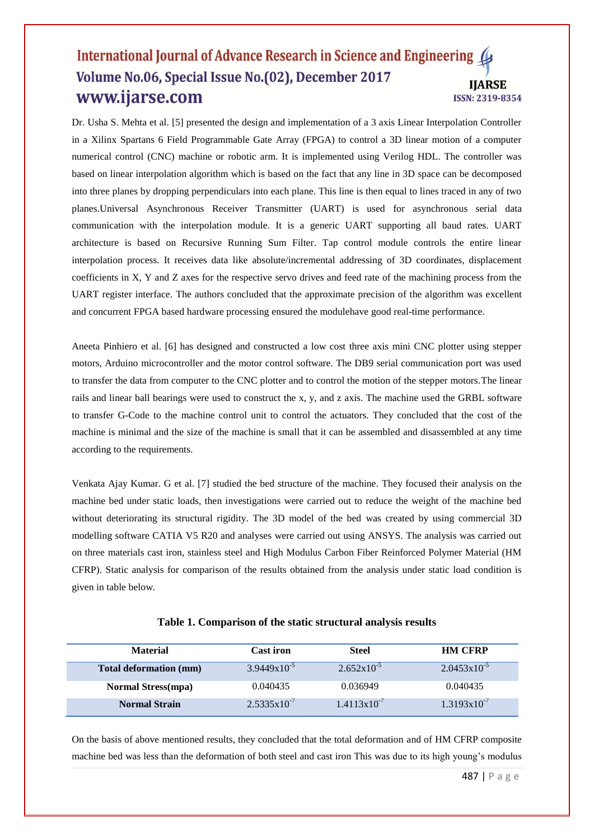Dr. Usha S. Mehta et al. [5] presented the design and implementation of a 3 axis Linear Interpolation Controller in a Xilinx Spartans 6 Field Programmable Gate Array (FPGA) to control a 3D linear motion of a computer numerical control (CNC) machine or robotic arm. It is implemented using Verilog HDL. The controller was based on linear interpolation algorithm which is based on the fact that any line in 3D space can be decomposed into three planes by dropping perpendiculars into each plane. This line is then equal to lines traced in any of two planes.Universal Asynchronous Receiver Transmitter (UART) is used for asynchronous serial data communication with the interpolation module. It is a generic UART supporting all baud rates. UART architecture is based on Recursive Running Sum Filter. Tap control module controls the entire linear interpolation process. It receives data like absolute/incremental addressing of 3D coordinates, displacement coefficients in X, Y and Z axes for the respective servo drives and feed rate of the machining process from the UART register interface. The authors concluded that the approximate precision of the algorithm was excellent and concurrent FPGA based hardware processing ensured the modulehave good real-time performance.

Aneeta Pinhiero et al. [6] has designed and constructed a low cost three axis mini CNC plotter using stepper motors, Arduino microcontroller and the motor control software. The DB9 serial communication port was used to transfer the data from computer to the CNC plotter and to control the motion of the stepper motors.The linear rails and linear ball bearings were used to construct the x, y, and z axis. The machine used the GRBL software to transfer G-Code to the machine control unit to control the actuators. They concluded that the cost of the machine is minimal and the size of the machine is small that it can be assembled and disassembled at any time according to the requirements.

Venkata Ajay Kumar. G et al. [7] studied the bed structure of the machine. They focused their analysis on the machine bed under static loads, then investigations were carried out to reduce the weight of the machine bed without deteriorating its structural rigidity. The 3D model of the bed was created by using commercial 3D modelling software CATIA V5 R20 and analyses were carried out using ANSYS. The analysis was carried out on three materials cast iron, stainless steel and High Modulus Carbon Fiber Reinforced Polymer Material (HM CFRP). Static analysis for comparison of the results obtained from the analysis under static load condition is given in table below.

| <b>Material</b>           | <b>Cast iron</b>        | <b>Steel</b>           | <b>HM CFRP</b>          |
|---------------------------|-------------------------|------------------------|-------------------------|
| Total deformation (mm)    | $3.9449 \times 10^{-5}$ | $2.652 \times 10^{-5}$ | $2.0453 \times 10^{-5}$ |
| <b>Normal Stress(mpa)</b> | 0.040435                | 0.036949               | 0.040435                |
| <b>Normal Strain</b>      | $2.5335 \times 10^{-7}$ | $1.4113x10^{-7}$       | $1.3193 \times 10^{-7}$ |

On the basis of above mentioned results, they concluded that the total deformation and of HM CFRP composite machine bed was less than the deformation of both steel and cast iron This was due to its high young's modulus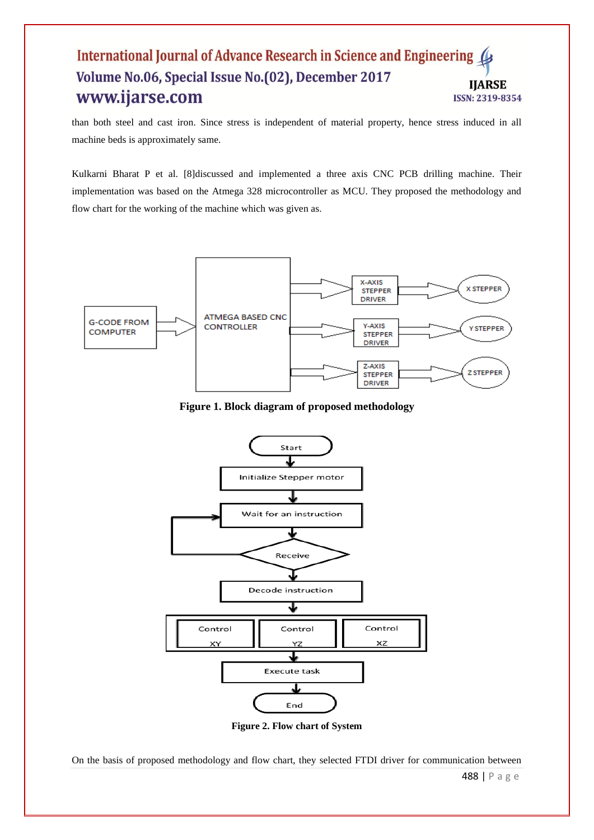than both steel and cast iron. Since stress is independent of material property, hence stress induced in all machine beds is approximately same.

Kulkarni Bharat P et al. [8]discussed and implemented a three axis CNC PCB drilling machine. Their implementation was based on the Atmega 328 microcontroller as MCU. They proposed the methodology and flow chart for the working of the machine which was given as.



**Figure 1. Block diagram of proposed methodology**



**Figure 2. Flow chart of System**

On the basis of proposed methodology and flow chart, they selected FTDI driver for communication between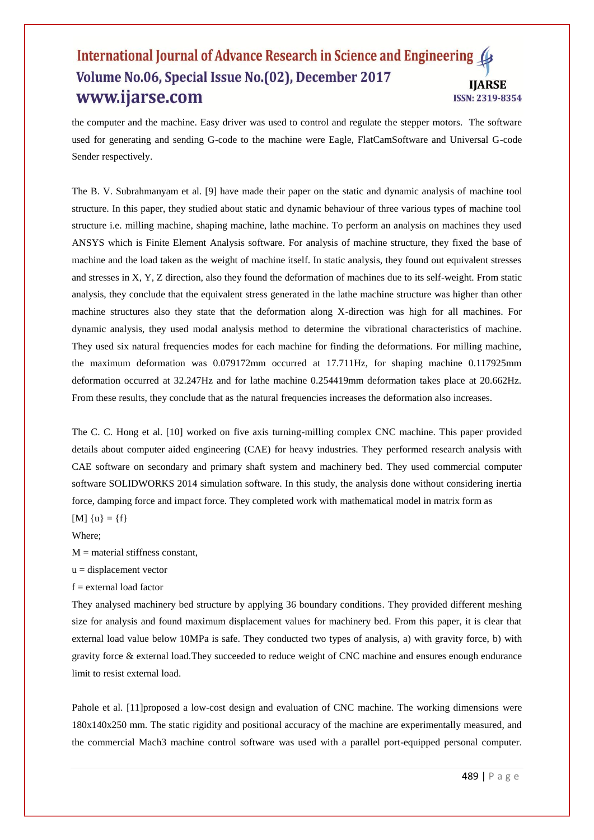the computer and the machine. Easy driver was used to control and regulate the stepper motors. The software used for generating and sending G-code to the machine were Eagle, FlatCamSoftware and Universal G-code Sender respectively.

The B. V. Subrahmanyam et al. [9] have made their paper on the static and dynamic analysis of machine tool structure. In this paper, they studied about static and dynamic behaviour of three various types of machine tool structure i.e. milling machine, shaping machine, lathe machine. To perform an analysis on machines they used ANSYS which is Finite Element Analysis software. For analysis of machine structure, they fixed the base of machine and the load taken as the weight of machine itself. In static analysis, they found out equivalent stresses and stresses in X, Y, Z direction, also they found the deformation of machines due to its self-weight. From static analysis, they conclude that the equivalent stress generated in the lathe machine structure was higher than other machine structures also they state that the deformation along X-direction was high for all machines. For dynamic analysis, they used modal analysis method to determine the vibrational characteristics of machine. They used six natural frequencies modes for each machine for finding the deformations. For milling machine, the maximum deformation was 0.079172mm occurred at 17.711Hz, for shaping machine 0.117925mm deformation occurred at 32.247Hz and for lathe machine 0.254419mm deformation takes place at 20.662Hz. From these results, they conclude that as the natural frequencies increases the deformation also increases.

The C. C. Hong et al. [10] worked on five axis turning-milling complex CNC machine. This paper provided details about computer aided engineering (CAE) for heavy industries. They performed research analysis with CAE software on secondary and primary shaft system and machinery bed. They used commercial computer software SOLIDWORKS 2014 simulation software. In this study, the analysis done without considering inertia force, damping force and impact force. They completed work with mathematical model in matrix form as  $[M] \{u\} = \{f\}$ 

Where;

 $M =$  material stiffness constant,

 $u =$  displacement vector

 $f =$  external load factor

They analysed machinery bed structure by applying 36 boundary conditions. They provided different meshing size for analysis and found maximum displacement values for machinery bed. From this paper, it is clear that external load value below 10MPa is safe. They conducted two types of analysis, a) with gravity force, b) with gravity force & external load.They succeeded to reduce weight of CNC machine and ensures enough endurance limit to resist external load.

Pahole et al. [11] proposed a low-cost design and evaluation of CNC machine. The working dimensions were 180x140x250 mm. The static rigidity and positional accuracy of the machine are experimentally measured, and the commercial Mach3 machine control software was used with a parallel port-equipped personal computer.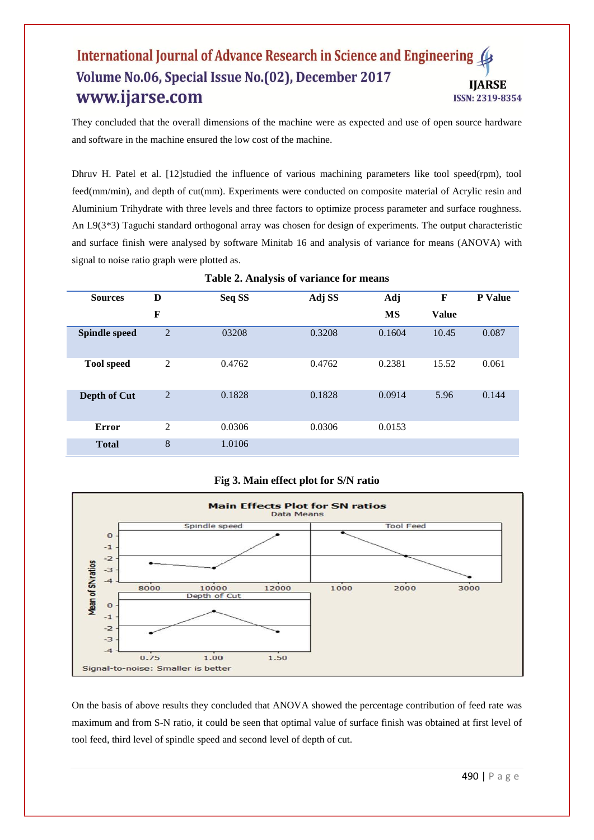They concluded that the overall dimensions of the machine were as expected and use of open source hardware and software in the machine ensured the low cost of the machine.

Dhruv H. Patel et al. [12] studied the influence of various machining parameters like tool speed(rpm), tool feed(mm/min), and depth of cut(mm). Experiments were conducted on composite material of Acrylic resin and Aluminium Trihydrate with three levels and three factors to optimize process parameter and surface roughness. An L9(3\*3) Taguchi standard orthogonal array was chosen for design of experiments. The output characteristic and surface finish were analysed by software Minitab 16 and analysis of variance for means (ANOVA) with signal to noise ratio graph were plotted as.

| <b>Sources</b>       | D              | Seq SS | Adj SS | <b>Adj</b> | F            | P Value |
|----------------------|----------------|--------|--------|------------|--------------|---------|
|                      | $\mathbf F$    |        |        | <b>MS</b>  | <b>Value</b> |         |
| <b>Spindle speed</b> | $\overline{2}$ | 03208  | 0.3208 | 0.1604     | 10.45        | 0.087   |
| <b>Tool</b> speed    | 2              | 0.4762 | 0.4762 | 0.2381     | 15.52        | 0.061   |
| Depth of Cut         | $\overline{2}$ | 0.1828 | 0.1828 | 0.0914     | 5.96         | 0.144   |
| <b>Error</b>         | 2              | 0.0306 | 0.0306 | 0.0153     |              |         |
| <b>Total</b>         | 8              | 1.0106 |        |            |              |         |

#### **Table 2. Analysis of variance for means**

#### **Fig 3. Main effect plot for S/N ratio**



On the basis of above results they concluded that ANOVA showed the percentage contribution of feed rate was maximum and from S-N ratio, it could be seen that optimal value of surface finish was obtained at first level of tool feed, third level of spindle speed and second level of depth of cut.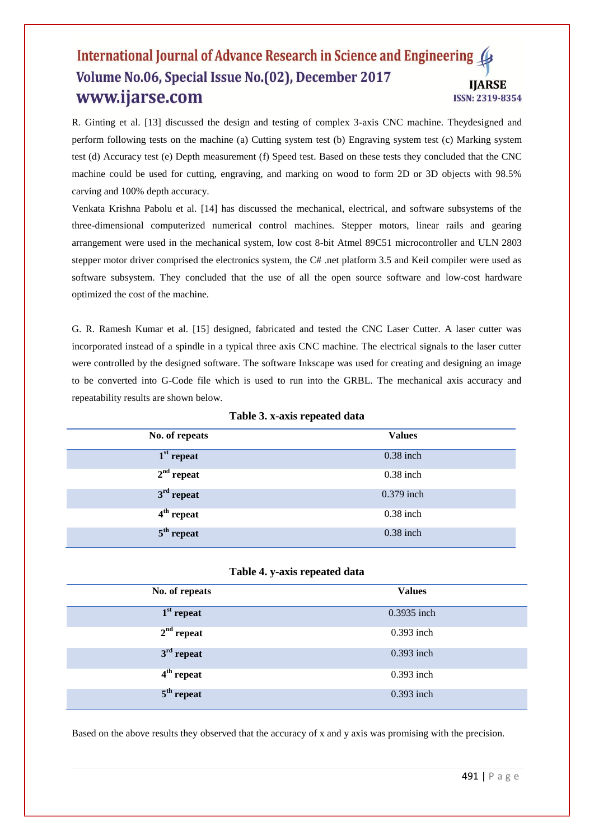R. Ginting et al. [13] discussed the design and testing of complex 3-axis CNC machine. Theydesigned and perform following tests on the machine (a) Cutting system test (b) Engraving system test (c) Marking system test (d) Accuracy test (e) Depth measurement (f) Speed test. Based on these tests they concluded that the CNC machine could be used for cutting, engraving, and marking on wood to form 2D or 3D objects with 98.5% carving and 100% depth accuracy.

Venkata Krishna Pabolu et al. [14] has discussed the mechanical, electrical, and software subsystems of the three-dimensional computerized numerical control machines. Stepper motors, linear rails and gearing arrangement were used in the mechanical system, low cost 8-bit Atmel 89C51 microcontroller and ULN 2803 stepper motor driver comprised the electronics system, the C# .net platform 3.5 and Keil compiler were used as software subsystem. They concluded that the use of all the open source software and low-cost hardware optimized the cost of the machine.

G. R. Ramesh Kumar et al. [15] designed, fabricated and tested the CNC Laser Cutter. A laser cutter was incorporated instead of a spindle in a typical three axis CNC machine. The electrical signals to the laser cutter were controlled by the designed software. The software Inkscape was used for creating and designing an image to be converted into G-Code file which is used to run into the GRBL. The mechanical axis accuracy and repeatability results are shown below.

| No. of repeats | <b>Values</b> |
|----------------|---------------|
|                |               |
| $1st$ repeat   | $0.38$ inch   |
|                |               |
| $2nd$ repeat   | $0.38$ inch   |
| $3rd$ repeat   | 0.379 inch    |
|                |               |
| $4th$ repeat   | $0.38$ inch   |
|                |               |
| $5th$ repeat   | $0.38$ inch   |
|                |               |

**Table 3. x-axis repeated data**

|  |  | Table 4. y-axis repeated data |  |
|--|--|-------------------------------|--|
|--|--|-------------------------------|--|

| No. of repeats | <b>Values</b> |
|----------------|---------------|
| $1st$ repeat   | 0.3935 inch   |
| $2nd$ repeat   | 0.393 inch    |
| $3rd$ repeat   | $0.393$ inch  |
| $4th$ repeat   | 0.393 inch    |
| $5th$ repeat   | 0.393 inch    |

Based on the above results they observed that the accuracy of x and y axis was promising with the precision.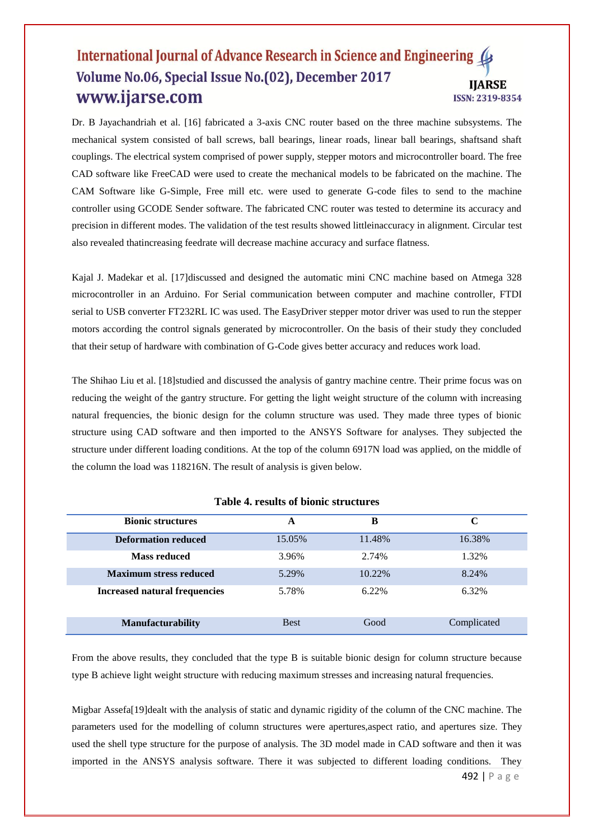Dr. B Jayachandriah et al. [16] fabricated a 3-axis CNC router based on the three machine subsystems. The mechanical system consisted of ball screws, ball bearings, linear roads, linear ball bearings, shaftsand shaft couplings. The electrical system comprised of power supply, stepper motors and microcontroller board. The free CAD software like FreeCAD were used to create the mechanical models to be fabricated on the machine. The CAM Software like G-Simple, Free mill etc. were used to generate G-code files to send to the machine controller using GCODE Sender software. The fabricated CNC router was tested to determine its accuracy and precision in different modes. The validation of the test results showed littleinaccuracy in alignment. Circular test also revealed thatincreasing feedrate will decrease machine accuracy and surface flatness.

Kajal J. Madekar et al. [17]discussed and designed the automatic mini CNC machine based on Atmega 328 microcontroller in an Arduino. For Serial communication between computer and machine controller, FTDI serial to USB converter FT232RL IC was used. The EasyDriver stepper motor driver was used to run the stepper motors according the control signals generated by microcontroller. On the basis of their study they concluded that their setup of hardware with combination of G-Code gives better accuracy and reduces work load.

The Shihao Liu et al. [18]studied and discussed the analysis of gantry machine centre. Their prime focus was on reducing the weight of the gantry structure. For getting the light weight structure of the column with increasing natural frequencies, the bionic design for the column structure was used. They made three types of bionic structure using CAD software and then imported to the ANSYS Software for analyses. They subjected the structure under different loading conditions. At the top of the column 6917N load was applied, on the middle of the column the load was 118216N. The result of analysis is given below.

| <b>Bionic structures</b>             | Α           | в       | C           |
|--------------------------------------|-------------|---------|-------------|
| <b>Deformation reduced</b>           | 15.05%      | 11.48%  | 16.38%      |
| <b>Mass reduced</b>                  | 3.96%       | 2.74%   | 1.32%       |
| <b>Maximum stress reduced</b>        | 5.29%       | 10.22\% | 8.24%       |
| <b>Increased natural frequencies</b> | 5.78%       | 6.22%   | 6.32%       |
| <b>Manufacturability</b>             | <b>Best</b> | Good    | Complicated |

#### **Table 4. results of bionic structures**

From the above results, they concluded that the type B is suitable bionic design for column structure because type B achieve light weight structure with reducing maximum stresses and increasing natural frequencies.

Migbar Assefa[19]dealt with the analysis of static and dynamic rigidity of the column of the CNC machine. The parameters used for the modelling of column structures were apertures,aspect ratio, and apertures size. They used the shell type structure for the purpose of analysis. The 3D model made in CAD software and then it was imported in the ANSYS analysis software. There it was subjected to different loading conditions. They

492 | P a g e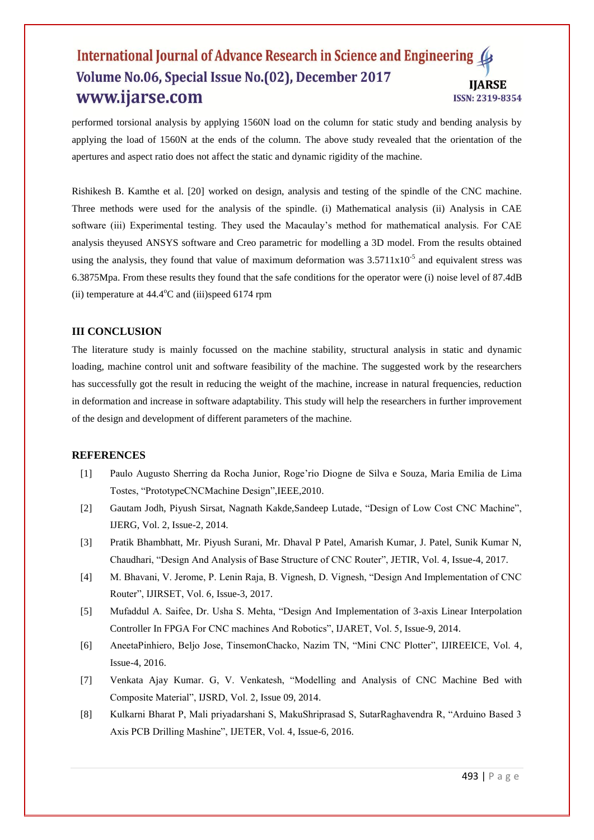performed torsional analysis by applying 1560N load on the column for static study and bending analysis by applying the load of 1560N at the ends of the column. The above study revealed that the orientation of the apertures and aspect ratio does not affect the static and dynamic rigidity of the machine.

Rishikesh B. Kamthe et al. [20] worked on design, analysis and testing of the spindle of the CNC machine. Three methods were used for the analysis of the spindle. (i) Mathematical analysis (ii) Analysis in CAE software (iii) Experimental testing. They used the Macaulay's method for mathematical analysis. For CAE analysis theyused ANSYS software and Creo parametric for modelling a 3D model. From the results obtained using the analysis, they found that value of maximum deformation was  $3.5711 \times 10^{-5}$  and equivalent stress was 6.3875Mpa. From these results they found that the safe conditions for the operator were (i) noise level of 87.4dB (ii) temperature at  $44.4^{\circ}$ C and (iii)speed 6174 rpm

#### **III CONCLUSION**

The literature study is mainly focussed on the machine stability, structural analysis in static and dynamic loading, machine control unit and software feasibility of the machine. The suggested work by the researchers has successfully got the result in reducing the weight of the machine, increase in natural frequencies, reduction in deformation and increase in software adaptability. This study will help the researchers in further improvement of the design and development of different parameters of the machine.

#### **REFERENCES**

- [1] Paulo Augusto Sherring da Rocha Junior, Roge'rio Diogne de Silva e Souza, Maria Emilia de Lima Tostes, "PrototypeCNCMachine Design",IEEE,2010.
- [2] Gautam Jodh, Piyush Sirsat, Nagnath Kakde, Sandeep Lutade, "Design of Low Cost CNC Machine", IJERG, Vol. 2, Issue-2, 2014.
- [3] Pratik Bhambhatt, Mr. Piyush Surani, Mr. Dhaval P Patel, Amarish Kumar, J. Patel, Sunik Kumar N, Chaudhari, "Design And Analysis of Base Structure of CNC Router", JETIR, Vol. 4, Issue-4, 2017.
- [4] M. Bhavani, V. Jerome, P. Lenin Raja, B. Vignesh, D. Vignesh, "Design And Implementation of CNC Router", IJIRSET, Vol. 6, Issue-3, 2017.
- [5] Mufaddul A. Saifee, Dr. Usha S. Mehta, "Design And Implementation of 3-axis Linear Interpolation Controller In FPGA For CNC machines And Robotics", IJARET, Vol. 5, Issue-9, 2014.
- [6] AneetaPinhiero, Beljo Jose, TinsemonChacko, Nazim TN, "Mini CNC Plotter", IJIREEICE, Vol. 4, Issue-4, 2016.
- [7] Venkata Ajay Kumar. G, V. Venkatesh, "Modelling and Analysis of CNC Machine Bed with Composite Material", IJSRD, Vol. 2, Issue 09, 2014.
- [8] Kulkarni Bharat P, Mali priyadarshani S, MakuShriprasad S, SutarRaghavendra R, "Arduino Based 3 Axis PCB Drilling Mashine", IJETER, Vol. 4, Issue-6, 2016.